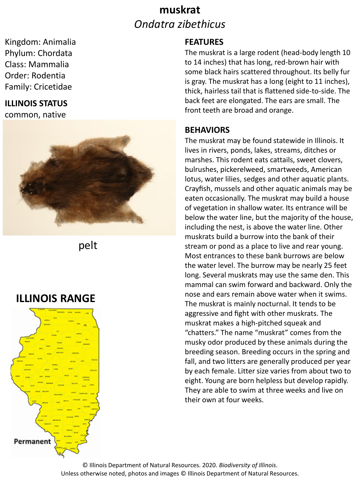## **muskrat** *Ondatra zibethicus*

Kingdom: Animalia Phylum: Chordata Class: Mammalia Order: Rodentia Family: Cricetidae

### **ILLINOIS STATUS**

common, native



pelt

## **ILLINOIS RANGE**



#### **FEATURES**

The muskrat is a large rodent (head-body length 10 to 14 inches) that has long, red-brown hair with some black hairs scattered throughout. Its belly fur is gray. The muskrat has a long (eight to 11 inches), thick, hairless tail that is flattened side-to-side. The back feet are elongated. The ears are small. The front teeth are broad and orange.

#### **BEHAVIORS**

The muskrat may be found statewide in Illinois. It lives in rivers, ponds, lakes, streams, ditches or marshes. This rodent eats cattails, sweet clovers, bulrushes, pickerelweed, smartweeds, American lotus, water lilies, sedges and other aquatic plants. Crayfish, mussels and other aquatic animals may be eaten occasionally. The muskrat may build a house of vegetation in shallow water. Its entrance will be below the water line, but the majority of the house, including the nest, is above the water line. Other muskrats build a burrow into the bank of their stream or pond as a place to live and rear young. Most entrances to these bank burrows are below the water level. The burrow may be nearly 25 feet long. Several muskrats may use the same den. This mammal can swim forward and backward. Only the nose and ears remain above water when it swims. The muskrat is mainly nocturnal. It tends to be aggressive and fight with other muskrats. The muskrat makes a high-pitched squeak and "chatters." The name "muskrat" comes from the musky odor produced by these animals during the breeding season. Breeding occurs in the spring and fall, and two litters are generally produced per year by each female. Litter size varies from about two to eight. Young are born helpless but develop rapidly. They are able to swim at three weeks and live on their own at four weeks.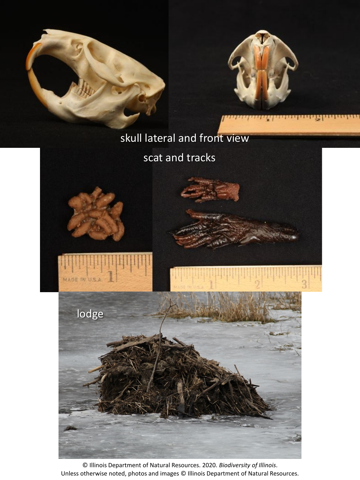



skull lateral and front view



© Illinois Department of Natural Resources. 2020. *Biodiversity of Illinois*. Unless otherwise noted, photos and images © Illinois Department of Natural Resources.